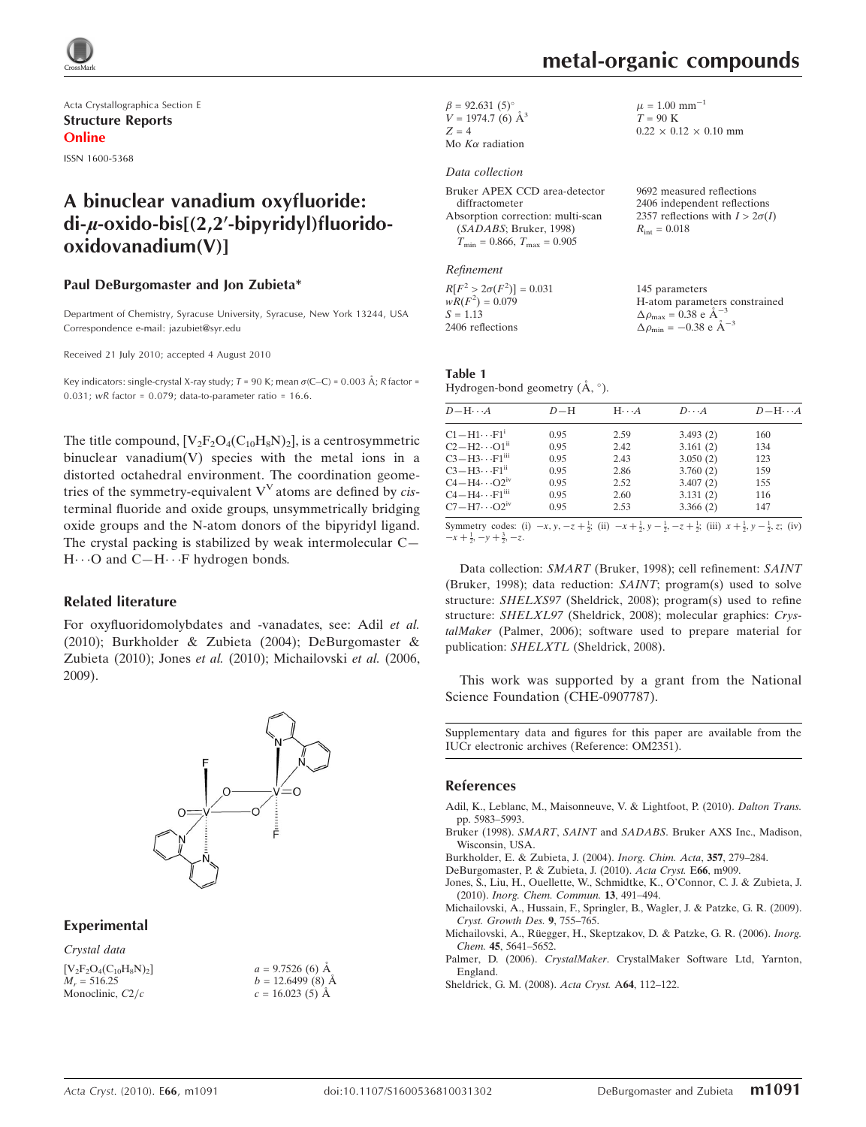

Acta Crystallographica Section E Structure Reports Online ISSN 1600-5368

# A binuclear vanadium oxyfluoride:  $di-u-oxido-bis[(2.2'-biovridv])fluorido$ oxidovanadium(V)]

#### Paul DeBurgomaster and Jon Zubieta\*

Department of Chemistry, Syracuse University, Syracuse, New York 13244, USA Correspondence e-mail: jazubiet@syr.edu

Received 21 July 2010; accepted 4 August 2010

Key indicators: single-crystal X-ray study; T = 90 K; mean  $\sigma$ (C–C) = 0.003 Å; R factor =  $0.031$ ; wR factor =  $0.079$ ; data-to-parameter ratio = 16.6.

The title compound,  $[V_2F_2O_4(C_{10}H_8N)_2]$ , is a centrosymmetric binuclear vanadium(V) species with the metal ions in a distorted octahedral environment. The coordination geometries of the symmetry-equivalent  $V<sup>V</sup>$  atoms are defined by *cis*terminal fluoride and oxide groups, unsymmetrically bridging oxide groups and the N-atom donors of the bipyridyl ligand. The crystal packing is stabilized by weak intermolecular C— H $\cdots$ O and C-H $\cdots$ F hydrogen bonds.

#### Related literature

For oxyfluoridomolybdates and -vanadates, see: Adil et al. (2010); Burkholder & Zubieta (2004); DeBurgomaster & Zubieta (2010); Jones et al. (2010); Michailovski et al. (2006, 2009).



#### Experimental

Crystal data  $[V_2F_2O_4(C_{10}H_8N)_2]$  $M<sub>r</sub> = 516.25$ Monoclinic,  $C2/c$ 

 $a = 9.7526$  (6) Å  $b = 12.6499(8)$  Å  $c = 16.023(5)$  Å

 $\beta = 92.631(5)$ °  $V = 1974.7$  (6)  $\AA^3$  $Z = 4$ Mo  $K\alpha$  radiation

#### Data collection

| Bruker APEX CCD area-detector                       |  |
|-----------------------------------------------------|--|
| diffractometer                                      |  |
| Absorption correction: multi-scan                   |  |
| (SADABS; Bruker, 1998)                              |  |
| $T_{\text{min}} = 0.866$ , $T_{\text{max}} = 0.905$ |  |

Refinement

 $R[F^2 > 2\sigma(F^2)] = 0.031$  $wR(F^2) = 0.079$  $S = 1.13$ 2406 reflections

9692 measured reflections 2406 independent reflections 2357 reflections with  $I > 2\sigma(I)$  $R_{\text{int}} = 0.018$ 

145 parameters H-atom parameters constrained  $\Delta \rho_{\text{max}} = 0.38 \text{ e A}^{-3}$  $\Delta \rho_{\rm min} = -0.38 \text{ e A}^{-3}$ 

| Table 1                               |  |
|---------------------------------------|--|
| Hydrogen-bond geometry $(A, \circ)$ . |  |

| $D$ $\!-\mathrm{H}\cdots A$        | $D-H$ | $H \cdots A$ | $D\cdots A$ | $D - H \cdots A$ |
|------------------------------------|-------|--------------|-------------|------------------|
| $C1 - H1 \cdots F1$ <sup>i</sup>   | 0.95  | 2.59         | 3.493(2)    | 160              |
| $C2-H2\cdots O1^{ii}$              | 0.95  | 2.42         | 3.161(2)    | 134              |
| $C3 - H3 \cdots F1$ <sup>iii</sup> | 0.95  | 2.43         | 3.050(2)    | 123              |
| $C3 - H3 \cdots F1$ <sup>ii</sup>  | 0.95  | 2.86         | 3.760(2)    | 159              |
| $C4 - H4 \cdots O2$ <sup>iv</sup>  | 0.95  | 2.52         | 3.407(2)    | 155              |
| $C4 - H4 \cdots F1$ <sup>iii</sup> | 0.95  | 2.60         | 3.131(2)    | 116              |
| $C7 - H7 \cdots O2$ <sup>iv</sup>  | 0.95  | 2.53         | 3.366(2)    | 147              |

Symmetry codes: (i)  $-x, y, -z + \frac{1}{2}$ ; (ii)  $-x + \frac{1}{2}$ ,  $y - \frac{1}{2}$ ,  $-z + \frac{1}{2}$ ; (iii)  $x + \frac{1}{2}$ ,  $y - \frac{1}{2}$ , z; (iv)  $-x + \frac{1}{2}, -y + \frac{3}{2}, -z.$ 

Data collection: *SMART* (Bruker, 1998); cell refinement: *SAINT* (Bruker, 1998); data reduction: SAINT; program(s) used to solve structure: SHELXS97 (Sheldrick, 2008); program(s) used to refine structure: SHELXL97 (Sheldrick, 2008); molecular graphics: CrystalMaker (Palmer, 2006); software used to prepare material for publication: SHELXTL (Sheldrick, 2008).

This work was supported by a grant from the National Science Foundation (CHE-0907787).

Supplementary data and figures for this paper are available from the IUCr electronic archives (Reference: OM2351).

#### References

- [Adil, K., Leblanc, M., Maisonneuve, V. & Lightfoot, P. \(2010\).](https://scripts.iucr.org/cgi-bin/cr.cgi?rm=pdfbb&cnor=om2351&bbid=BB1) Dalton Trans. [pp. 5983–5993.](https://scripts.iucr.org/cgi-bin/cr.cgi?rm=pdfbb&cnor=om2351&bbid=BB1)
- Bruker (1998). SMART, SAINT and SADABS[. Bruker AXS Inc., Madison,](https://scripts.iucr.org/cgi-bin/cr.cgi?rm=pdfbb&cnor=om2351&bbid=BB2) [Wisconsin, USA.](https://scripts.iucr.org/cgi-bin/cr.cgi?rm=pdfbb&cnor=om2351&bbid=BB2)
- [Burkholder, E. & Zubieta, J. \(2004\).](https://scripts.iucr.org/cgi-bin/cr.cgi?rm=pdfbb&cnor=om2351&bbid=BB3) Inorg. Chim. Acta, 357, 279–284.
- [DeBurgomaster, P. & Zubieta, J. \(2010\).](https://scripts.iucr.org/cgi-bin/cr.cgi?rm=pdfbb&cnor=om2351&bbid=BB4) Acta Cryst. E66, m909.
- [Jones, S., Liu, H., Ouellette, W., Schmidtke, K., O'Connor, C. J. & Zubieta, J.](https://scripts.iucr.org/cgi-bin/cr.cgi?rm=pdfbb&cnor=om2351&bbid=BB5) (2010). [Inorg. Chem. Commun.](https://scripts.iucr.org/cgi-bin/cr.cgi?rm=pdfbb&cnor=om2351&bbid=BB5) 13, 491–494.
- [Michailovski, A., Hussain, F., Springler, B., Wagler, J. & Patzke, G. R. \(2009\).](https://scripts.iucr.org/cgi-bin/cr.cgi?rm=pdfbb&cnor=om2351&bbid=BB6) [Cryst. Growth Des.](https://scripts.iucr.org/cgi-bin/cr.cgi?rm=pdfbb&cnor=om2351&bbid=BB6) 9, 755–765.
- Michailovski, A., Rü[egger, H., Skeptzakov, D. & Patzke, G. R. \(2006\).](https://scripts.iucr.org/cgi-bin/cr.cgi?rm=pdfbb&cnor=om2351&bbid=BB7) Inorg. Chem. 45[, 5641–5652.](https://scripts.iucr.org/cgi-bin/cr.cgi?rm=pdfbb&cnor=om2351&bbid=BB7)
- Palmer, D. (2006). CrystalMaker[. CrystalMaker Software Ltd, Yarnton,](https://scripts.iucr.org/cgi-bin/cr.cgi?rm=pdfbb&cnor=om2351&bbid=BB8) [England.](https://scripts.iucr.org/cgi-bin/cr.cgi?rm=pdfbb&cnor=om2351&bbid=BB8)
- [Sheldrick, G. M. \(2008\).](https://scripts.iucr.org/cgi-bin/cr.cgi?rm=pdfbb&cnor=om2351&bbid=BB9) Acta Cryst. A64, 112–122.

 $\mu = 1.00$  mm<sup>-1</sup>  $T = 90$  K

 $0.22 \times 0.12 \times 0.10$  mm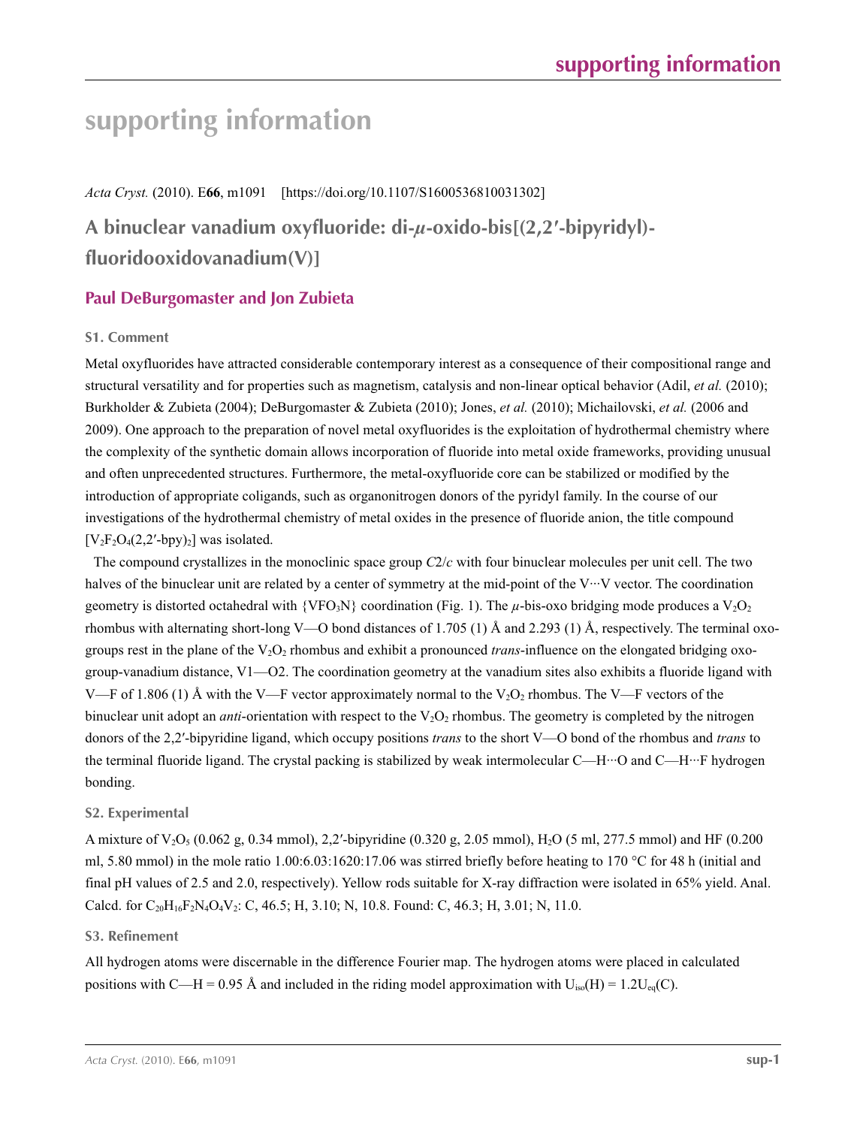# **supporting information**

*Acta Cryst.* (2010). E**66**, m1091 [https://doi.org/10.1107/S1600536810031302]

**A binuclear vanadium oxyfluoride: di-***µ***-oxido-bis[(2,2′-bipyridyl) fluoridooxidovanadium(V)]**

## **Paul DeBurgomaster and Jon Zubieta**

## **S1. Comment**

Metal oxyfluorides have attracted considerable contemporary interest as a consequence of their compositional range and structural versatility and for properties such as magnetism, catalysis and non-linear optical behavior (Adil, *et al.* (2010); Burkholder & Zubieta (2004); DeBurgomaster & Zubieta (2010); Jones, *et al.* (2010); Michailovski, *et al.* (2006 and 2009). One approach to the preparation of novel metal oxyfluorides is the exploitation of hydrothermal chemistry where the complexity of the synthetic domain allows incorporation of fluoride into metal oxide frameworks, providing unusual and often unprecedented structures. Furthermore, the metal-oxyfluoride core can be stabilized or modified by the introduction of appropriate coligands, such as organonitrogen donors of the pyridyl family. In the course of our investigations of the hydrothermal chemistry of metal oxides in the presence of fluoride anion, the title compound  $[V<sub>2</sub>F<sub>2</sub>O<sub>4</sub>(2,2'-bpy)<sub>2</sub>]$  was isolated.

The compound crystallizes in the monoclinic space group *C*2/*c* with four binuclear molecules per unit cell. The two halves of the binuclear unit are related by a center of symmetry at the mid-point of the  $V \cdots V$  vector. The coordination geometry is distorted octahedral with  $\{VFO_3N\}$  coordination (Fig. 1). The  $\mu$ -bis-oxo bridging mode produces a  $V_2O_2$ rhombus with alternating short-long V—O bond distances of 1.705 (1) Å and 2.293 (1) Å, respectively. The terminal oxogroups rest in the plane of the  $V_2O_2$  rhombus and exhibit a pronounced *trans*-influence on the elongated bridging oxogroup-vanadium distance, V1—O2. The coordination geometry at the vanadium sites also exhibits a fluoride ligand with V—F of 1.806 (1) Å with the V—F vector approximately normal to the  $V_2O_2$  rhombus. The V—F vectors of the binuclear unit adopt an *anti*-orientation with respect to the  $V_2O_2$  rhombus. The geometry is completed by the nitrogen donors of the 2,2′-bipyridine ligand, which occupy positions *trans* to the short V—O bond of the rhombus and *trans* to the terminal fluoride ligand. The crystal packing is stabilized by weak intermolecular C—H···O and C—H···F hydrogen bonding.

## **S2. Experimental**

A mixture of V<sub>2</sub>O<sub>5</sub> (0.062 g, 0.34 mmol), 2,2'-bipyridine (0.320 g, 2.05 mmol), H<sub>2</sub>O (5 ml, 277.5 mmol) and HF (0.200 ml, 5.80 mmol) in the mole ratio 1.00:6.03:1620:17.06 was stirred briefly before heating to 170 °C for 48 h (initial and final pH values of 2.5 and 2.0, respectively). Yellow rods suitable for X-ray diffraction were isolated in 65% yield. Anal. Calcd. for  $C_{20}H_{16}F_2N_4O_4V_2$ : C, 46.5; H, 3.10; N, 10.8. Found: C, 46.3; H, 3.01; N, 11.0.

### **S3. Refinement**

All hydrogen atoms were discernable in the difference Fourier map. The hydrogen atoms were placed in calculated positions with C—H = 0.95 Å and included in the riding model approximation with  $U_{iso}(H) = 1.2U_{eq}(C)$ .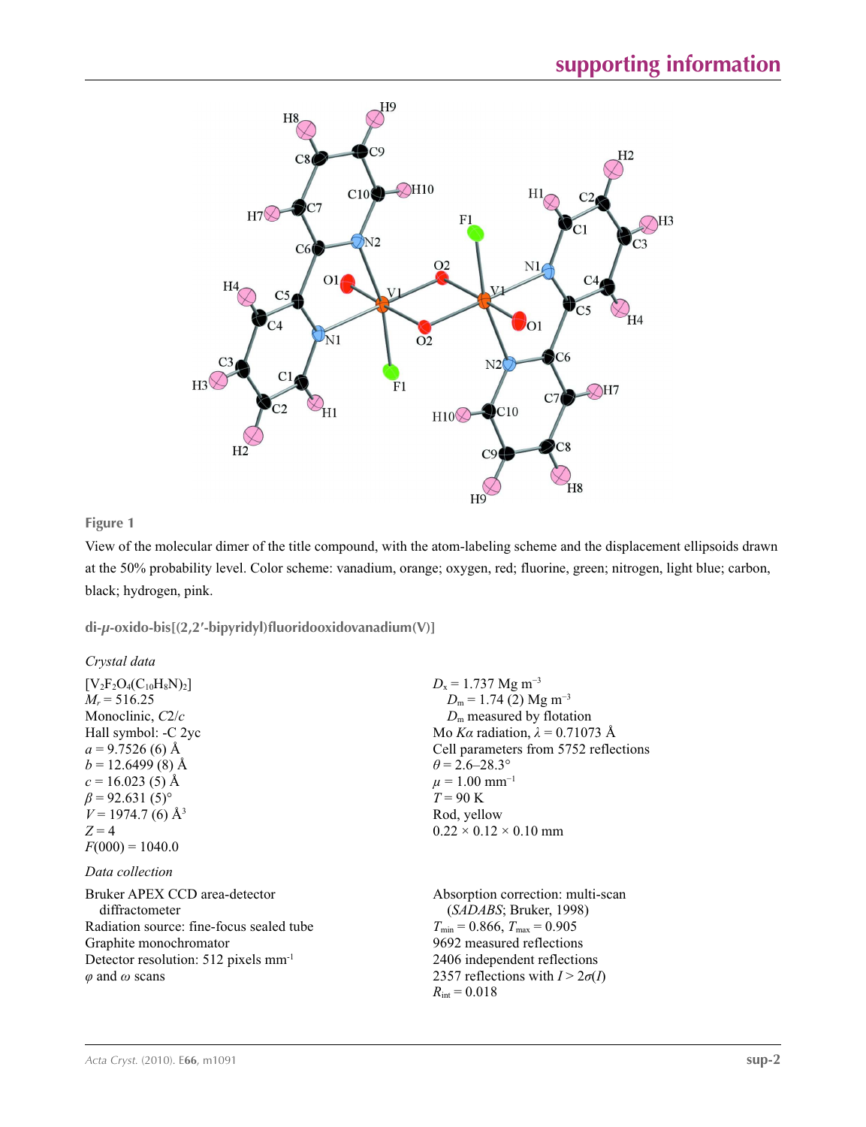

## **Figure 1**

View of the molecular dimer of the title compound, with the atom-labeling scheme and the displacement ellipsoids drawn at the 50% probability level. Color scheme: vanadium, orange; oxygen, red; fluorine, green; nitrogen, light blue; carbon, black; hydrogen, pink.

**di-***µ***-oxido-bis[(2,2′-bipyridyl)fluoridooxidovanadium(V)]** 

### *Crystal data*

| $[V_2F_2O_4(C_{10}H_8N)_2]$                      | $D_x = 1.737$ Mg m <sup>-3</sup>        |
|--------------------------------------------------|-----------------------------------------|
| $M_r = 516.25$                                   | $D_m$ = 1.74 (2) Mg m <sup>-3</sup>     |
| Monoclinic, C2/c                                 | $Dm$ measured by flotation              |
| Hall symbol: -C 2yc                              | Mo Ka radiation, $\lambda = 0.71073$ Å  |
| $a = 9.7526$ (6) Å                               | Cell parameters from 5752 reflections   |
| $b = 12.6499(8)$ Å                               | $\theta = 2.6 - 28.3^{\circ}$           |
| $c = 16.023(5)$ Å                                | $\mu = 1.00$ mm <sup>-1</sup>           |
| $\beta$ = 92.631 (5) <sup>o</sup>                | $T = 90$ K                              |
| $V = 1974.7$ (6) Å <sup>3</sup>                  | Rod, yellow                             |
| $Z=4$                                            | $0.22 \times 0.12 \times 0.10$ mm       |
| $F(000) = 1040.0$                                |                                         |
| Data collection                                  |                                         |
| Bruker APEX CCD area-detector                    | Absorption correction: multi-scan       |
| diffractometer                                   | (SADABS; Bruker, 1998)                  |
| Radiation source: fine-focus sealed tube         | $T_{\min} = 0.866$ , $T_{\max} = 0.905$ |
| Graphite monochromator                           | 9692 measured reflections               |
| Detector resolution: 512 pixels mm <sup>-1</sup> | 2406 independent reflections            |
| $\varphi$ and $\omega$ scans                     | 2357 reflections with $I > 2\sigma(I)$  |
|                                                  | $R_{\rm int} = 0.018$                   |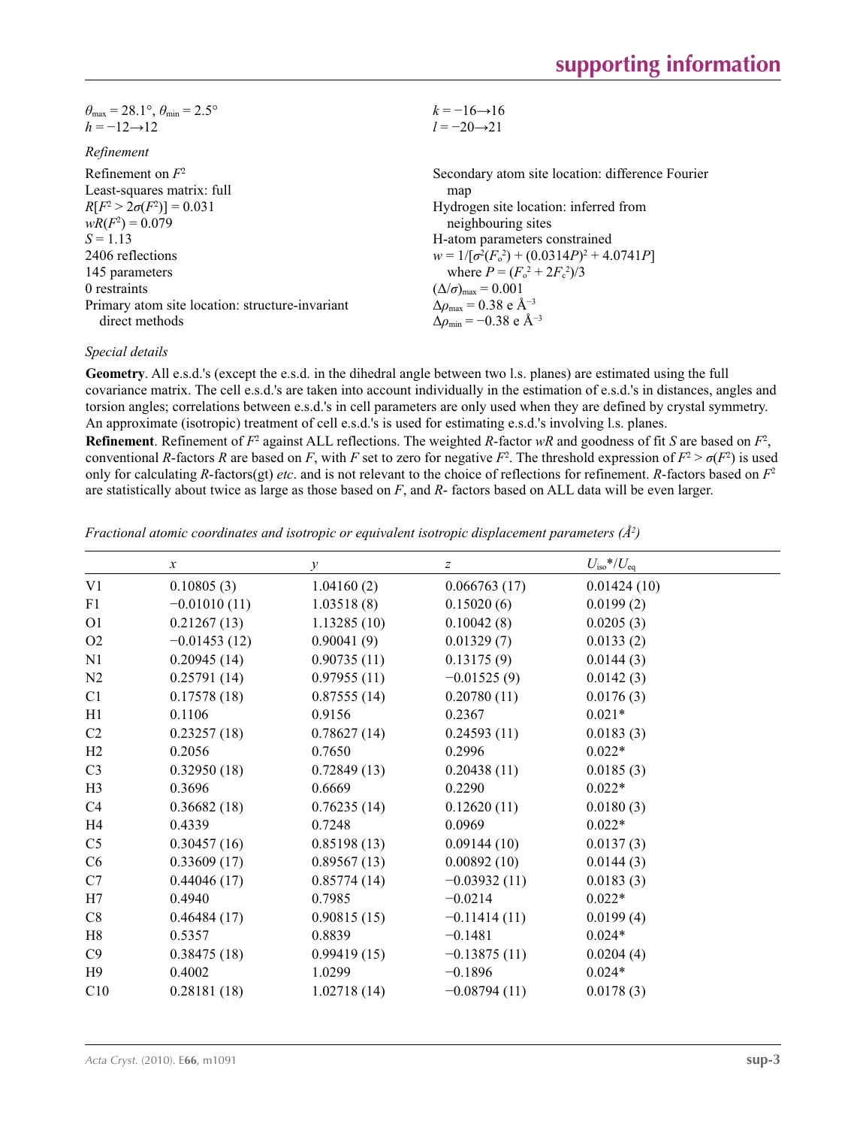| $\theta_{\text{max}} = 28.1^{\circ}$ , $\theta_{\text{min}} = 2.5^{\circ}$ | $k = -16 \rightarrow 16$                          |
|----------------------------------------------------------------------------|---------------------------------------------------|
| $h = -12 \rightarrow 12$                                                   | $l = -20 \rightarrow 21$                          |
| Refinement                                                                 |                                                   |
| Refinement on $F^2$                                                        | Secondary atom site location: difference Fourier  |
| Least-squares matrix: full                                                 | map                                               |
| $R[F^2 > 2\sigma(F^2)] = 0.031$                                            | Hydrogen site location: inferred from             |
| $wR(F^2) = 0.079$                                                          | neighbouring sites                                |
| $S = 1.13$                                                                 | H-atom parameters constrained                     |
| 2406 reflections                                                           | $w = 1/[\sigma^2(F_0^2) + (0.0314P)^2 + 4.0741P]$ |
| 145 parameters                                                             | where $P = (F_o^2 + 2F_c^2)/3$                    |
| 0 restraints                                                               | $(\Delta/\sigma)_{\text{max}} = 0.001$            |
| Primary atom site location: structure-invariant                            | $\Delta\rho_{\text{max}} = 0.38 \text{ e A}^{-3}$ |
| direct methods                                                             | $\Delta\rho_{\rm min} = -0.38$ e Å <sup>-3</sup>  |

### *Special details*

**Geometry**. All e.s.d.'s (except the e.s.d. in the dihedral angle between two l.s. planes) are estimated using the full covariance matrix. The cell e.s.d.'s are taken into account individually in the estimation of e.s.d.'s in distances, angles and torsion angles; correlations between e.s.d.'s in cell parameters are only used when they are defined by crystal symmetry. An approximate (isotropic) treatment of cell e.s.d.'s is used for estimating e.s.d.'s involving l.s. planes.

**Refinement**. Refinement of  $F^2$  against ALL reflections. The weighted *R*-factor  $wR$  and goodness of fit *S* are based on  $F^2$ , conventional *R*-factors *R* are based on *F*, with *F* set to zero for negative  $F^2$ . The threshold expression of  $F^2 > \sigma(F^2)$  is used only for calculating *R*-factors(gt) *etc*. and is not relevant to the choice of reflections for refinement. *R*-factors based on *F*<sup>2</sup> are statistically about twice as large as those based on *F*, and *R*- factors based on ALL data will be even larger.

*Fractional atomic coordinates and isotropic or equivalent isotropic displacement parameters (Å<sup>2</sup>)* 

| $\boldsymbol{\chi}$ | у           | $\boldsymbol{Z}$ | $U_{\rm iso}$ */ $U_{\rm eq}$ |  |
|---------------------|-------------|------------------|-------------------------------|--|
| 0.10805(3)          | 1.04160(2)  | 0.066763(17)     | 0.01424(10)                   |  |
| $-0.01010(11)$      | 1.03518(8)  | 0.15020(6)       | 0.0199(2)                     |  |
| 0.21267(13)         | 1.13285(10) | 0.10042(8)       | 0.0205(3)                     |  |
| $-0.01453(12)$      | 0.90041(9)  | 0.01329(7)       | 0.0133(2)                     |  |
| 0.20945(14)         | 0.90735(11) | 0.13175(9)       | 0.0144(3)                     |  |
| 0.25791(14)         | 0.97955(11) | $-0.01525(9)$    | 0.0142(3)                     |  |
| 0.17578(18)         | 0.87555(14) | 0.20780(11)      | 0.0176(3)                     |  |
| 0.1106              | 0.9156      | 0.2367           | $0.021*$                      |  |
| 0.23257(18)         | 0.78627(14) | 0.24593(11)      | 0.0183(3)                     |  |
| 0.2056              | 0.7650      | 0.2996           | $0.022*$                      |  |
| 0.32950(18)         | 0.72849(13) | 0.20438(11)      | 0.0185(3)                     |  |
| 0.3696              | 0.6669      | 0.2290           | $0.022*$                      |  |
| 0.36682(18)         | 0.76235(14) | 0.12620(11)      | 0.0180(3)                     |  |
| 0.4339              | 0.7248      | 0.0969           | $0.022*$                      |  |
| 0.30457(16)         | 0.85198(13) | 0.09144(10)      | 0.0137(3)                     |  |
| 0.33609(17)         | 0.89567(13) | 0.00892(10)      | 0.0144(3)                     |  |
| 0.44046(17)         | 0.85774(14) | $-0.03932(11)$   | 0.0183(3)                     |  |
| 0.4940              | 0.7985      | $-0.0214$        | $0.022*$                      |  |
| 0.46484(17)         | 0.90815(15) | $-0.11414(11)$   | 0.0199(4)                     |  |
| 0.5357              | 0.8839      | $-0.1481$        | $0.024*$                      |  |
| 0.38475(18)         | 0.99419(15) | $-0.13875(11)$   | 0.0204(4)                     |  |
| 0.4002              | 1.0299      | $-0.1896$        | $0.024*$                      |  |
| 0.28181(18)         | 1.02718(14) | $-0.08794(11)$   | 0.0178(3)                     |  |
|                     |             |                  |                               |  |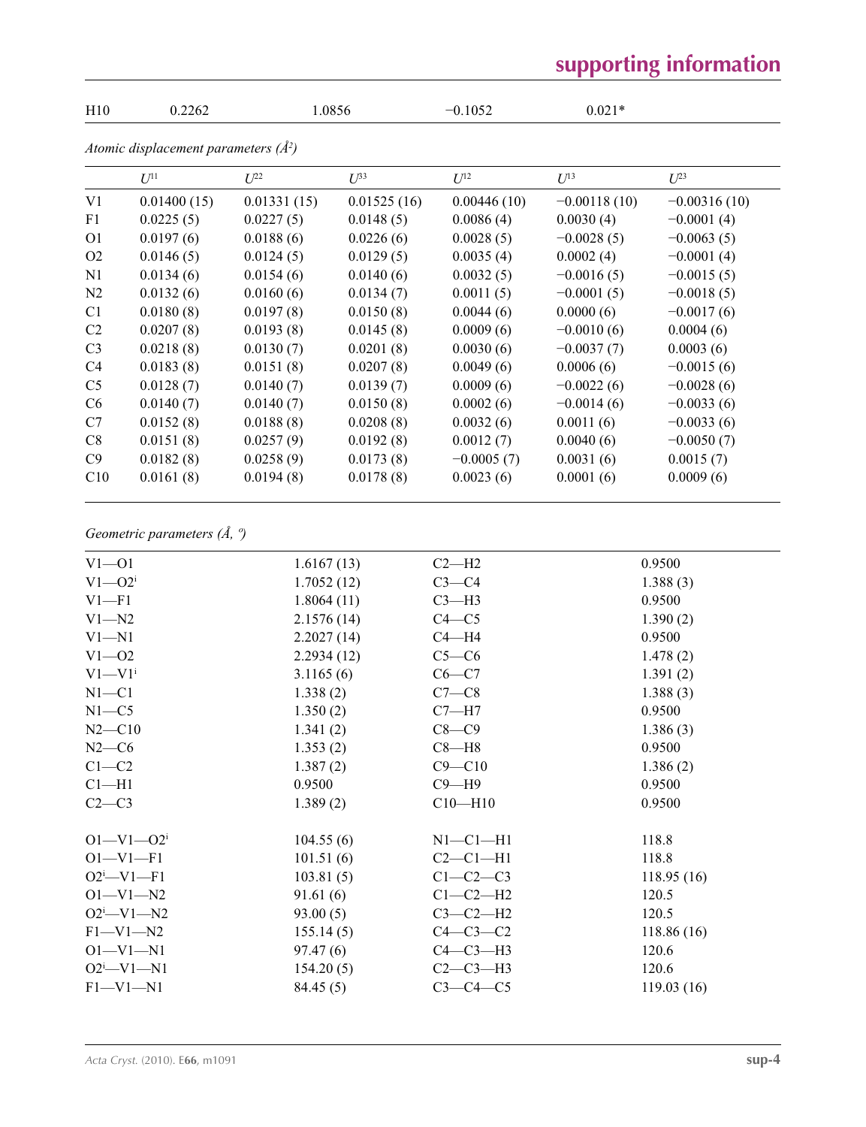# **supporting information**

| H10            | 0.2262                                 | 1.0856      |             | $-0.1052$    | $0.021*$       |                |
|----------------|----------------------------------------|-------------|-------------|--------------|----------------|----------------|
|                | Atomic displacement parameters $(A^2)$ |             |             |              |                |                |
|                | $U^{11}$                               | $U^{22}$    | $U^{33}$    | $U^{12}$     | $U^{13}$       | $U^{23}$       |
| V <sub>1</sub> | 0.01400(15)                            | 0.01331(15) | 0.01525(16) | 0.00446(10)  | $-0.00118(10)$ | $-0.00316(10)$ |
| F <sub>1</sub> | 0.0225(5)                              | 0.0227(5)   | 0.0148(5)   | 0.0086(4)    | 0.0030(4)      | $-0.0001(4)$   |
| O <sub>1</sub> | 0.0197(6)                              | 0.0188(6)   | 0.0226(6)   | 0.0028(5)    | $-0.0028(5)$   | $-0.0063(5)$   |
| O <sub>2</sub> | 0.0146(5)                              | 0.0124(5)   | 0.0129(5)   | 0.0035(4)    | 0.0002(4)      | $-0.0001(4)$   |
| N1             | 0.0134(6)                              | 0.0154(6)   | 0.0140(6)   | 0.0032(5)    | $-0.0016(5)$   | $-0.0015(5)$   |
| N2             | 0.0132(6)                              | 0.0160(6)   | 0.0134(7)   | 0.0011(5)    | $-0.0001(5)$   | $-0.0018(5)$   |
| C <sub>1</sub> | 0.0180(8)                              | 0.0197(8)   | 0.0150(8)   | 0.0044(6)    | 0.0000(6)      | $-0.0017(6)$   |
| C <sub>2</sub> | 0.0207(8)                              | 0.0193(8)   | 0.0145(8)   | 0.0009(6)    | $-0.0010(6)$   | 0.0004(6)      |
| C <sub>3</sub> | 0.0218(8)                              | 0.0130(7)   | 0.0201(8)   | 0.0030(6)    | $-0.0037(7)$   | 0.0003(6)      |
| C <sub>4</sub> | 0.0183(8)                              | 0.0151(8)   | 0.0207(8)   | 0.0049(6)    | 0.0006(6)      | $-0.0015(6)$   |
| C <sub>5</sub> | 0.0128(7)                              | 0.0140(7)   | 0.0139(7)   | 0.0009(6)    | $-0.0022(6)$   | $-0.0028(6)$   |
| C6             | 0.0140(7)                              | 0.0140(7)   | 0.0150(8)   | 0.0002(6)    | $-0.0014(6)$   | $-0.0033(6)$   |
| C7             | 0.0152(8)                              | 0.0188(8)   | 0.0208(8)   | 0.0032(6)    | 0.0011(6)      | $-0.0033(6)$   |
| C8             | 0.0151(8)                              | 0.0257(9)   | 0.0192(8)   | 0.0012(7)    | 0.0040(6)      | $-0.0050(7)$   |
| C9             | 0.0182(8)                              | 0.0258(9)   | 0.0173(8)   | $-0.0005(7)$ | 0.0031(6)      | 0.0015(7)      |
| C10            | 0.0161(8)                              | 0.0194(8)   | 0.0178(8)   | 0.0023(6)    | 0.0001(6)      | 0.0009(6)      |

## *Geometric parameters (Å, º)*

| $V1 - 01$                   | 1.6167(13) | $C2-H2$     | 0.9500     |
|-----------------------------|------------|-------------|------------|
| $V1 - Q2$                   | 1.7052(12) | $C3-C4$     | 1.388(3)   |
| $V1 - F1$                   | 1.8064(11) | $C3-H3$     | 0.9500     |
| $V1 - N2$                   | 2.1576(14) | $C4 - C5$   | 1.390(2)   |
| $V1 - N1$                   | 2.2027(14) | $C4 - H4$   | 0.9500     |
| $V1 - 02$                   | 2.2934(12) | $C5-C6$     | 1.478(2)   |
| $V1 - V1$ <sup>i</sup>      | 3.1165(6)  | $C6 - C7$   | 1.391(2)   |
| $N1 - C1$                   | 1.338(2)   | $C7-C8$     | 1.388(3)   |
| $N1 - C5$                   | 1.350(2)   | $C7 - H7$   | 0.9500     |
| $N2 - C10$                  | 1.341(2)   | $C8-C9$     | 1.386(3)   |
| $N2-C6$                     | 1.353(2)   | $C8 - H8$   | 0.9500     |
| $C1-C2$                     | 1.387(2)   | $C9 - C10$  | 1.386(2)   |
| $C1 - H1$                   | 0.9500     | $C9 - H9$   | 0.9500     |
| $C2-C3$                     | 1.389(2)   | $C10 - H10$ | 0.9500     |
| $O1 - V1 - O2$ <sup>i</sup> | 104.55(6)  | $N1-C1-H1$  | 118.8      |
| $O1 - V1 - F1$              | 101.51(6)  | $C2-C1-H1$  | 118.8      |
| $O2^i$ -V1-F1               | 103.81(5)  | $C1-C2-C3$  | 118.95(16) |
| $O1 - V1 - N2$              | 91.61(6)   | $C1-C2-H2$  | 120.5      |
| $O2^i$ -V1-N2               | 93.00(5)   | $C3-C2-H2$  | 120.5      |
| $F1 - V1 - N2$              | 155.14(5)  | $C4-C3-C2$  | 118.86(16) |
| $O1 - V1 - N1$              | 97.47(6)   | $C4-C3-H3$  | 120.6      |
| $O2^i$ -V1-N1               | 154.20(5)  | $C2-C3-H3$  | 120.6      |
| $F1-V1-N1$                  | 84.45(5)   | $C3-C4-C5$  | 119.03(16) |
|                             |            |             |            |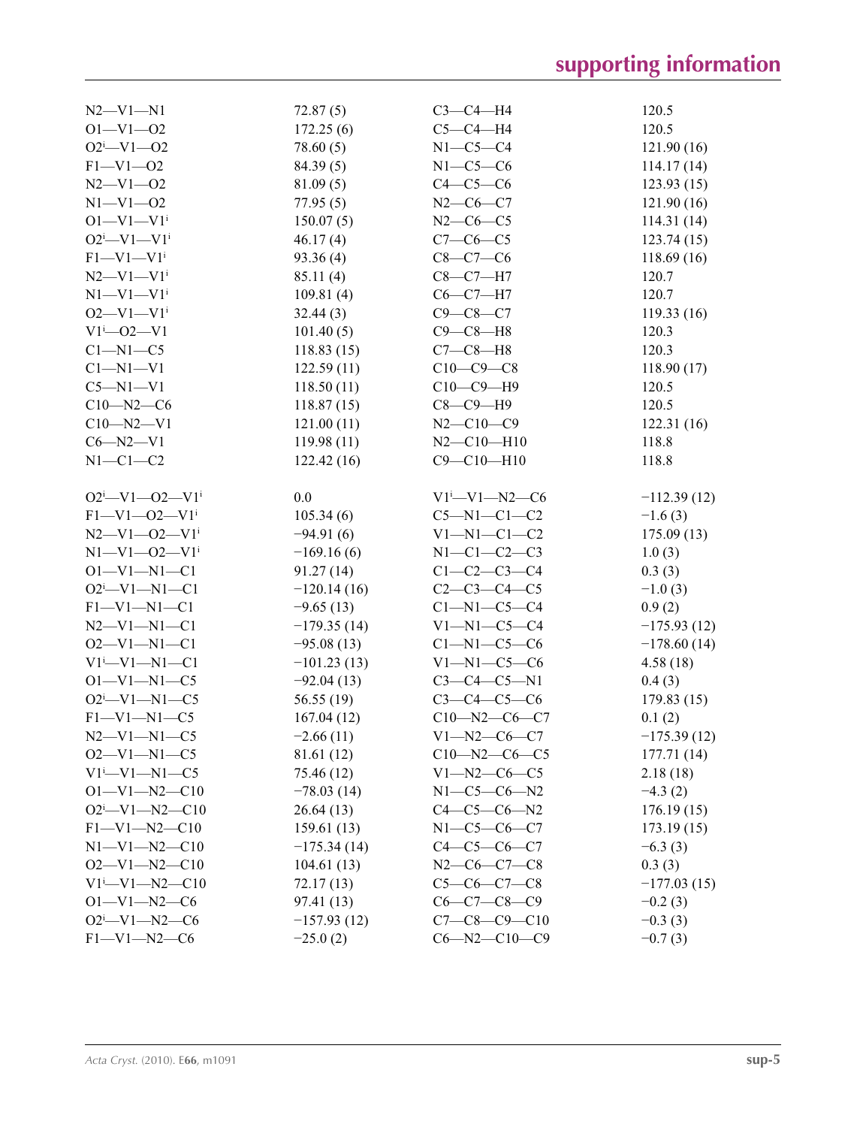| $N2 - V1 - N1$                                         |               | $C3-C4-H4$              | 120.5         |
|--------------------------------------------------------|---------------|-------------------------|---------------|
|                                                        | 72.87(5)      |                         | 120.5         |
| $O1 - V1 - O2$                                         | 172.25(6)     | $C5-C4-H4$              |               |
| $O2^i$ -V1- $O2$                                       | 78.60(5)      | $N1-C5-C4$              | 121.90(16)    |
| $F1 - V1 - 02$                                         | 84.39(5)      | $N1-C5-C6$              | 114.17(14)    |
| $N2 - V1 - 02$                                         | 81.09(5)      | $C4-C5-C6$              | 123.93(15)    |
| $N1 - V1 - 02$                                         | 77.95(5)      | $N2-C6-C7$              | 121.90(16)    |
| $O1 - V1 - V1$ <sup>i</sup>                            | 150.07(5)     | $N2-C6-C5$              | 114.31(14)    |
| $O2^{i} - V1 - V1^{i}$                                 | 46.17(4)      | $C7-C6-C5$              | 123.74(15)    |
| $F1 - V1 - V1$ <sup>i</sup>                            | 93.36(4)      | $C8 - C7 - C6$          | 118.69(16)    |
| $N2 - V1 - V1$ <sup>i</sup>                            | 85.11(4)      | $C8-C7-H7$              | 120.7         |
| $N1 - V1 - V1$ <sup>i</sup>                            | 109.81(4)     | $C6-C7-H7$              | 120.7         |
| $O2 - V1 - V1$ <sup>i</sup>                            | 32.44(3)      | $C9 - C8 - C7$          | 119.33(16)    |
| $V1^{i}$ - $O2$ - $V1$                                 | 101.40(5)     | $C9 - C8 - H8$          | 120.3         |
| $Cl-M1-C5$                                             | 118.83(15)    | $C7-C8-H8$              | 120.3         |
| $Cl-M1-V1$                                             | 122.59(11)    | $C10-C9-C8$             | 118.90(17)    |
| $C5 - N1 - V1$                                         | 118.50(11)    | $C10-C9-H9$             | 120.5         |
| $C10 - N2 - C6$                                        | 118.87(15)    | $C8-C9-H9$              | 120.5         |
| $C10 - N2 - V1$                                        | 121.00(11)    | $N2 - C10 - C9$         | 122.31(16)    |
| $C6 - N2 - V1$                                         | 119.98(11)    | $N2 - C10 - H10$        | 118.8         |
| $N1-C1-C2$                                             | 122.42(16)    | $C9 - C10 - H10$        | 118.8         |
|                                                        |               |                         |               |
| $O2^{i} - V1 - O2 - V1^{i}$                            | $0.0\,$       | $V1^{i} - V1 - N2 - C6$ | $-112.39(12)$ |
| $F1 - V1 - 02 - V1$                                    | 105.34(6)     | $C5-M1-C1-C2$           | $-1.6(3)$     |
| $N2 - V1 - 02 - V1$                                    | $-94.91(6)$   | $V1 - N1 - C1 - C2$     | 175.09(13)    |
| $N1 - V1 - 02 - V1$ <sup>i</sup>                       | $-169.16(6)$  | $N1 - C1 - C2 - C3$     | 1.0(3)        |
| $O1 - VI - NI - C1$                                    | 91.27(14)     | $C1 - C2 - C3 - C4$     | 0.3(3)        |
| $O2^i$ -V1-N1-C1                                       | $-120.14(16)$ | $C2-C3-C4-C5$           | $-1.0(3)$     |
| $F1-V1-N1-C1$                                          | $-9.65(13)$   | $Cl-M1-C5-C4$           | 0.9(2)        |
| $N2 - V1 - N1 - C1$                                    | $-179.35(14)$ | $V1 - N1 - C5 - C4$     | $-175.93(12)$ |
| $O2-V1-N1-C1$                                          | $-95.08(13)$  | $C1-M1-C5-C6$           | $-178.60(14)$ |
| $V1^i$ - $V1$ - $N1$ - $C1$                            | $-101.23(13)$ | $V1 - N1 - C5 - C6$     | 4.58(18)      |
| $O1 - VI - NI - C5$                                    | $-92.04(13)$  | $C3-C4-C5-N1$           | 0.4(3)        |
| $O2^i$ -V1-N1-C5                                       | 56.55(19)     | $C3 - C4 - C5 - C6$     | 179.83(15)    |
| $F1-V1-N1-C5$                                          | 167.04(12)    | $C10 - N2 - C6 - C7$    | 0.1(2)        |
| $N2 - V1 - N1 - C5$                                    | $-2.66(11)$   | $V1 - N2 - C6 - C7$     | $-175.39(12)$ |
| $O2-V1-N1-C5$                                          | 81.61 (12)    | $C10 - N2 - C6 - C5$    | 177.71 (14)   |
| $V1^i$ – $V1$ – $N1$ – $C5$                            | 75.46 (12)    | $V1 - N2 - C6 - C5$     | 2.18(18)      |
| $O1 - V1 - N2 - C10$                                   | $-78.03(14)$  | $N1 - C5 - C6 - N2$     | $-4.3(2)$     |
| $O2^i$ -V1-N2-C10                                      | 26.64(13)     | $C4-C5-C6-N2$           | 176.19(15)    |
| $F1 - V1 - N2 - C10$                                   | 159.61(13)    | $N1 - C5 - C6 - C7$     | 173.19(15)    |
| $N1 - V1 - N2 - C10$                                   | $-175.34(14)$ | $C4 - C5 - C6 - C7$     | $-6.3(3)$     |
| $O2 - V1 - N2 - C10$                                   | 104.61(13)    | $N2-C6-C7-C8$           | 0.3(3)        |
|                                                        |               | $C5-C6-C7-C8$           |               |
| $V1^{\text{L}} - V1 - N2 - C10$<br>$O1 - V1 - N2 - C6$ | 72.17(13)     | $C6 - C7 - C8 - C9$     | $-177.03(15)$ |
|                                                        | 97.41 (13)    |                         | $-0.2(3)$     |
| $O2^i$ -V1-N2-C6                                       | $-157.93(12)$ | $C7 - C8 - C9 - C10$    | $-0.3(3)$     |
| $F1 - V1 - N2 - C6$                                    | $-25.0(2)$    | $C6 - N2 - C10 - C9$    | $-0.7(3)$     |